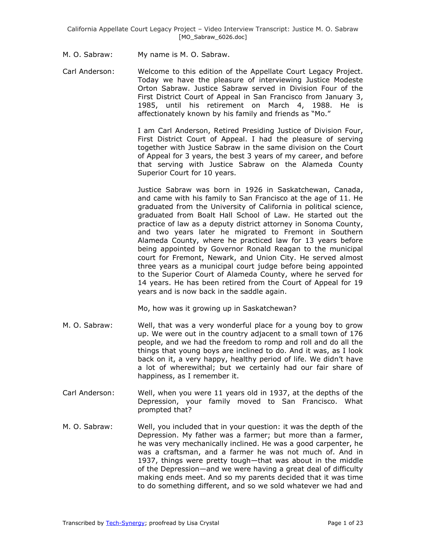- M. O. Sabraw: My name is M. O. Sabraw.
- Carl Anderson: Welcome to this edition of the Appellate Court Legacy Project. Today we have the pleasure of interviewing Justice Modeste Orton Sabraw. Justice Sabraw served in Division Four of the First District Court of Appeal in San Francisco from January 3, 1985, until his retirement on March 4, 1988. He is affectionately known by his family and friends as "Mo."

I am Carl Anderson, Retired Presiding Justice of Division Four, First District Court of Appeal. I had the pleasure of serving together with Justice Sabraw in the same division on the Court of Appeal for 3 years, the best 3 years of my career, and before that serving with Justice Sabraw on the Alameda County Superior Court for 10 years.

Justice Sabraw was born in 1926 in Saskatchewan, Canada, and came with his family to San Francisco at the age of 11. He graduated from the University of California in political science, graduated from Boalt Hall School of Law. He started out the practice of law as a deputy district attorney in Sonoma County, and two years later he migrated to Fremont in Southern Alameda County, where he practiced law for 13 years before being appointed by Governor Ronald Reagan to the municipal court for Fremont, Newark, and Union City. He served almost three years as a municipal court judge before being appointed to the Superior Court of Alameda County, where he served for 14 years. He has been retired from the Court of Appeal for 19 years and is now back in the saddle again.

Mo, how was it growing up in Saskatchewan?

- M. O. Sabraw: Well, that was a very wonderful place for a young boy to grow up. We were out in the country adjacent to a small town of 176 people, and we had the freedom to romp and roll and do all the things that young boys are inclined to do. And it was, as I look back on it, a very happy, healthy period of life. We didn't have a lot of wherewithal; but we certainly had our fair share of happiness, as I remember it.
- Carl Anderson: Well, when you were 11 years old in 1937, at the depths of the Depression, your family moved to San Francisco. What prompted that?
- M. O. Sabraw: Well, you included that in your question: it was the depth of the Depression. My father was a farmer; but more than a farmer, he was very mechanically inclined. He was a good carpenter, he was a craftsman, and a farmer he was not much of. And in 1937, things were pretty tough—that was about in the middle of the Depression—and we were having a great deal of difficulty making ends meet. And so my parents decided that it was time to do something different, and so we sold whatever we had and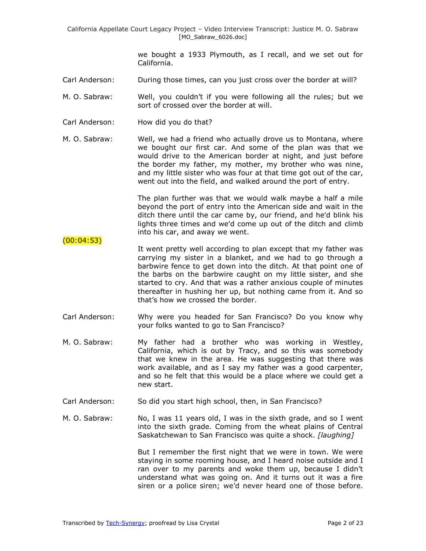we bought a 1933 Plymouth, as I recall, and we set out for California.

- Carl Anderson: During those times, can you just cross over the border at will?
- M. O. Sabraw: Well, you couldn't if you were following all the rules; but we sort of crossed over the border at will.
- Carl Anderson: How did you do that?
- M. O. Sabraw: Well, we had a friend who actually drove us to Montana, where we bought our first car. And some of the plan was that we would drive to the American border at night, and just before the border my father, my mother, my brother who was nine, and my little sister who was four at that time got out of the car, went out into the field, and walked around the port of entry.

The plan further was that we would walk maybe a half a mile beyond the port of entry into the American side and wait in the ditch there until the car came by, our friend, and he'd blink his lights three times and we'd come up out of the ditch and climb into his car, and away we went.

- $(00:04:53)$ It went pretty well according to plan except that my father was carrying my sister in a blanket, and we had to go through a barbwire fence to get down into the ditch. At that point one of the barbs on the barbwire caught on my little sister, and she started to cry. And that was a rather anxious couple of minutes thereafter in hushing her up, but nothing came from it. And so that's how we crossed the border.
- Carl Anderson: Why were you headed for San Francisco? Do you know why your folks wanted to go to San Francisco?
- M. O. Sabraw: My father had a brother who was working in Westley, California, which is out by Tracy, and so this was somebody that we knew in the area. He was suggesting that there was work available, and as I say my father was a good carpenter, and so he felt that this would be a place where we could get a new start.
- Carl Anderson: So did you start high school, then, in San Francisco?
- M. O. Sabraw: No, I was 11 years old, I was in the sixth grade, and so I went into the sixth grade. Coming from the wheat plains of Central Saskatchewan to San Francisco was quite a shock. *[laughing]*

But I remember the first night that we were in town. We were staying in some rooming house, and I heard noise outside and I ran over to my parents and woke them up, because I didn't understand what was going on. And it turns out it was a fire siren or a police siren; we'd never heard one of those before.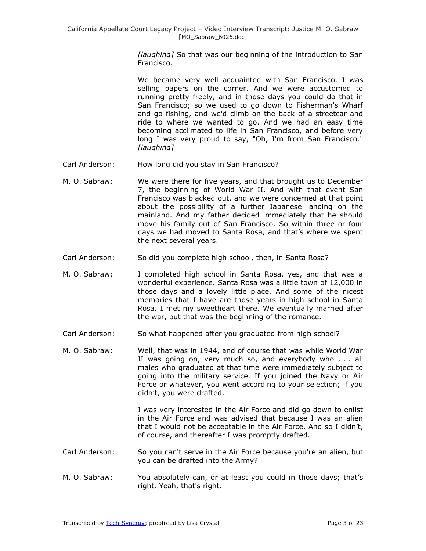*[laughing]* So that was our beginning of the introduction to San Francisco.

We became very well acquainted with San Francisco. I was selling papers on the corner. And we were accustomed to running pretty freely, and in those days you could do that in San Francisco; so we used to go down to Fisherman's Wharf and go fishing, and we'd climb on the back of a streetcar and ride to where we wanted to go. And we had an easy time becoming acclimated to life in San Francisco, and before very long I was very proud to say, "Oh, I'm from San Francisco." *[laughing]*

- Carl Anderson: How long did you stay in San Francisco?
- M. O. Sabraw: We were there for five years, and that brought us to December 7, the beginning of World War II. And with that event San Francisco was blacked out, and we were concerned at that point about the possibility of a further Japanese landing on the mainland. And my father decided immediately that he should move his family out of San Francisco. So within three or four days we had moved to Santa Rosa, and that's where we spent the next several years.
- Carl Anderson: So did you complete high school, then, in Santa Rosa?
- M. O. Sabraw: I completed high school in Santa Rosa, yes, and that was a wonderful experience. Santa Rosa was a little town of 12,000 in those days and a lovely little place. And some of the nicest memories that I have are those years in high school in Santa Rosa. I met my sweetheart there. We eventually married after the war, but that was the beginning of the romance.
- Carl Anderson: So what happened after you graduated from high school?
- M. O. Sabraw: Well, that was in 1944, and of course that was while World War II was going on, very much so, and everybody who . . . all males who graduated at that time were immediately subject to going into the military service. If you joined the Navy or Air Force or whatever, you went according to your selection; if you didn't, you were drafted.

I was very interested in the Air Force and did go down to enlist in the Air Force and was advised that because I was an alien that I would not be acceptable in the Air Force. And so I didn't, of course, and thereafter I was promptly drafted.

- Carl Anderson: So you can't serve in the Air Force because you're an alien, but you can be drafted into the Army?
- M. O. Sabraw: You absolutely can, or at least you could in those days; that's right. Yeah, that's right.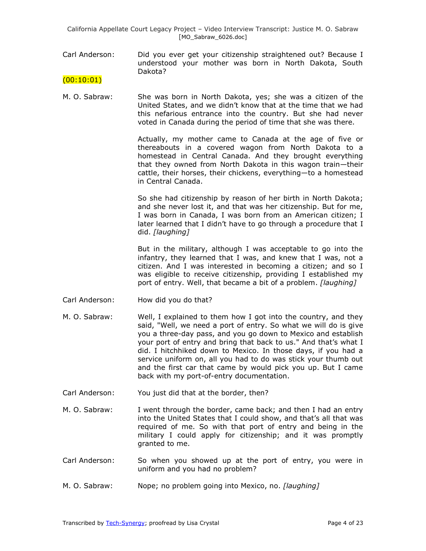California Appellate Court Legacy Project – Video Interview Transcript: Justice M. O. Sabraw [MO\_Sabraw\_6026.doc]

- Carl Anderson: Did you ever get your citizenship straightened out? Because I understood your mother was born in North Dakota, South Dakota?
- $(00:10:01)$
- M. O. Sabraw: She was born in North Dakota, yes; she was a citizen of the United States, and we didn't know that at the time that we had this nefarious entrance into the country. But she had never voted in Canada during the period of time that she was there.

Actually, my mother came to Canada at the age of five or thereabouts in a covered wagon from North Dakota to a homestead in Central Canada. And they brought everything that they owned from North Dakota in this wagon train—their cattle, their horses, their chickens, everything—to a homestead in Central Canada.

So she had citizenship by reason of her birth in North Dakota; and she never lost it, and that was her citizenship. But for me, I was born in Canada, I was born from an American citizen; I later learned that I didn't have to go through a procedure that I did. *[laughing]*

But in the military, although I was acceptable to go into the infantry, they learned that I was, and knew that I was, not a citizen. And I was interested in becoming a citizen; and so I was eligible to receive citizenship, providing I established my port of entry. Well, that became a bit of a problem. *[laughing]*

- Carl Anderson: How did you do that?
- M. O. Sabraw: Well, I explained to them how I got into the country, and they said, "Well, we need a port of entry. So what we will do is give you a three-day pass, and you go down to Mexico and establish your port of entry and bring that back to us." And that's what I did. I hitchhiked down to Mexico. In those days, if you had a service uniform on, all you had to do was stick your thumb out and the first car that came by would pick you up. But I came back with my port-of-entry documentation.
- Carl Anderson: You just did that at the border, then?
- M. O. Sabraw: I went through the border, came back; and then I had an entry into the United States that I could show, and that's all that was required of me. So with that port of entry and being in the military I could apply for citizenship; and it was promptly granted to me.
- Carl Anderson: So when you showed up at the port of entry, you were in uniform and you had no problem?
- M. O. Sabraw: Nope; no problem going into Mexico, no. *[laughing]*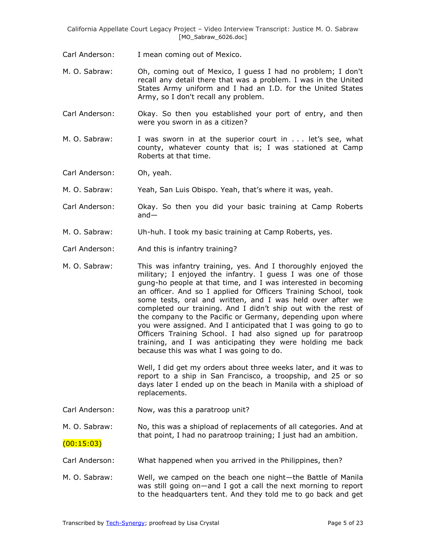California Appellate Court Legacy Project – Video Interview Transcript: Justice M. O. Sabraw [MO\_Sabraw\_6026.doc]

Carl Anderson: I mean coming out of Mexico.

M. O. Sabraw: Oh, coming out of Mexico, I guess I had no problem; I don't recall any detail there that was a problem. I was in the United States Army uniform and I had an I.D. for the United States Army, so I don't recall any problem.

Carl Anderson: Okay. So then you established your port of entry, and then were you sworn in as a citizen?

M. O. Sabraw: I was sworn in at the superior court in . . . let's see, what county, whatever county that is; I was stationed at Camp Roberts at that time.

Carl Anderson: Oh, yeah.

M. O. Sabraw: Yeah, San Luis Obispo. Yeah, that's where it was, yeah.

- Carl Anderson: Okay. So then you did your basic training at Camp Roberts and—
- M. O. Sabraw: Uh-huh. I took my basic training at Camp Roberts, yes.
- Carl Anderson: And this is infantry training?
- M. O. Sabraw: This was infantry training, yes. And I thoroughly enjoyed the military; I enjoyed the infantry. I guess I was one of those gung-ho people at that time, and I was interested in becoming an officer. And so I applied for Officers Training School, took some tests, oral and written, and I was held over after we completed our training. And I didn't ship out with the rest of the company to the Pacific or Germany, depending upon where you were assigned. And I anticipated that I was going to go to Officers Training School. I had also signed up for paratroop training, and I was anticipating they were holding me back because this was what I was going to do.

Well, I did get my orders about three weeks later, and it was to report to a ship in San Francisco, a troopship, and 25 or so days later I ended up on the beach in Manila with a shipload of replacements.

Carl Anderson: Now, was this a paratroop unit?

M. O. Sabraw: No, this was a shipload of replacements of all categories. And at that point, I had no paratroop training; I just had an ambition.

 $(00:15:03)$ 

- Carl Anderson: What happened when you arrived in the Philippines, then?
- M. O. Sabraw: Well, we camped on the beach one night—the Battle of Manila was still going on—and I got a call the next morning to report to the headquarters tent. And they told me to go back and get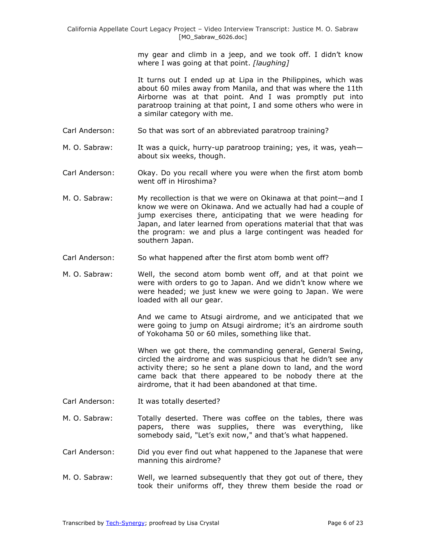my gear and climb in a jeep, and we took off. I didn't know where I was going at that point. *[laughing]*

It turns out I ended up at Lipa in the Philippines, which was about 60 miles away from Manila, and that was where the 11th Airborne was at that point. And I was promptly put into paratroop training at that point, I and some others who were in a similar category with me.

- Carl Anderson: So that was sort of an abbreviated paratroop training?
- M. O. Sabraw: It was a quick, hurry-up paratroop training; yes, it was, yeah about six weeks, though.
- Carl Anderson: Okay. Do you recall where you were when the first atom bomb went off in Hiroshima?
- M. O. Sabraw: My recollection is that we were on Okinawa at that point—and I know we were on Okinawa. And we actually had had a couple of jump exercises there, anticipating that we were heading for Japan, and later learned from operations material that that was the program: we and plus a large contingent was headed for southern Japan.
- Carl Anderson: So what happened after the first atom bomb went off?
- M. O. Sabraw: Well, the second atom bomb went off, and at that point we were with orders to go to Japan. And we didn't know where we were headed; we just knew we were going to Japan. We were loaded with all our gear.

And we came to Atsugi airdrome, and we anticipated that we were going to jump on Atsugi airdrome; it's an airdrome south of Yokohama 50 or 60 miles, something like that.

When we got there, the commanding general, General Swing, circled the airdrome and was suspicious that he didn't see any activity there; so he sent a plane down to land, and the word came back that there appeared to be nobody there at the airdrome, that it had been abandoned at that time.

- Carl Anderson: It was totally deserted?
- M. O. Sabraw: Totally deserted. There was coffee on the tables, there was papers, there was supplies, there was everything, like somebody said, "Let's exit now," and that's what happened.
- Carl Anderson: Did you ever find out what happened to the Japanese that were manning this airdrome?
- M. O. Sabraw: Well, we learned subsequently that they got out of there, they took their uniforms off, they threw them beside the road or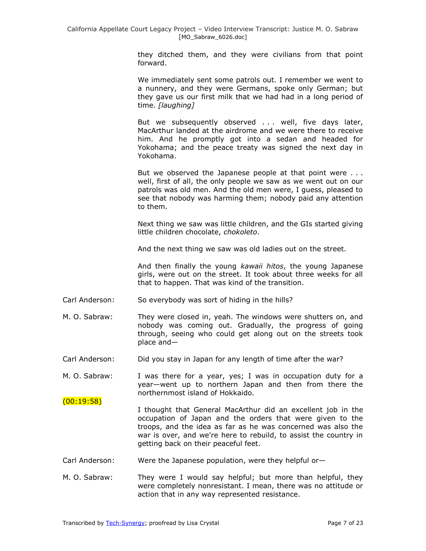they ditched them, and they were civilians from that point forward.

We immediately sent some patrols out. I remember we went to a nunnery, and they were Germans, spoke only German; but they gave us our first milk that we had had in a long period of time. *[laughing]*

But we subsequently observed . . . well, five days later, MacArthur landed at the airdrome and we were there to receive him. And he promptly got into a sedan and headed for Yokohama; and the peace treaty was signed the next day in Yokohama.

But we observed the Japanese people at that point were ... well, first of all, the only people we saw as we went out on our patrols was old men. And the old men were, I guess, pleased to see that nobody was harming them; nobody paid any attention to them.

Next thing we saw was little children, and the GIs started giving little children chocolate, *chokoleto*.

And the next thing we saw was old ladies out on the street.

And then finally the young *kawaii hitos*, the young Japanese girls, were out on the street. It took about three weeks for all that to happen. That was kind of the transition.

- Carl Anderson: So everybody was sort of hiding in the hills?
- M. O. Sabraw: They were closed in, yeah. The windows were shutters on, and nobody was coming out. Gradually, the progress of going through, seeing who could get along out on the streets took place and—
- Carl Anderson: Did you stay in Japan for any length of time after the war?
- M. O. Sabraw: I was there for a year, yes; I was in occupation duty for a year—went up to northern Japan and then from there the northernmost island of Hokkaido.
- I thought that General MacArthur did an excellent job in the occupation of Japan and the orders that were given to the troops, and the idea as far as he was concerned was also the war is over, and we're here to rebuild, to assist the country in getting back on their peaceful feet.
- Carl Anderson: Were the Japanese population, were they helpful or—
- M. O. Sabraw: They were I would say helpful; but more than helpful, they were completely nonresistant. I mean, there was no attitude or action that in any way represented resistance.

 $(00:19:58)$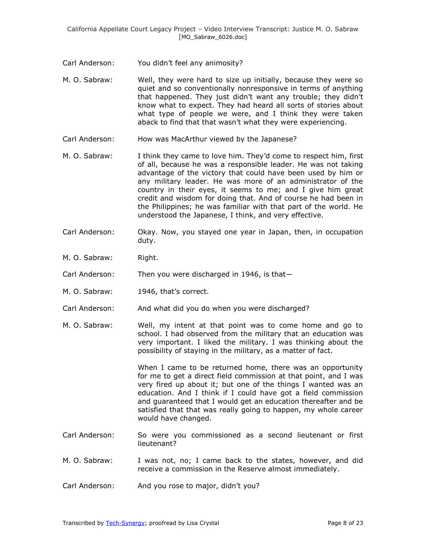- Carl Anderson: You didn't feel any animosity?
- M. O. Sabraw: Well, they were hard to size up initially, because they were so quiet and so conventionally nonresponsive in terms of anything that happened. They just didn't want any trouble; they didn't know what to expect. They had heard all sorts of stories about what type of people we were, and I think they were taken aback to find that that wasn't what they were experiencing.
- Carl Anderson: How was MacArthur viewed by the Japanese?
- M. O. Sabraw: I think they came to love him. They'd come to respect him, first of all, because he was a responsible leader. He was not taking advantage of the victory that could have been used by him or any military leader. He was more of an administrator of the country in their eyes, it seems to me; and I give him great credit and wisdom for doing that. And of course he had been in the Philippines; he was familiar with that part of the world. He understood the Japanese, I think, and very effective.
- Carl Anderson: Okay. Now, you stayed one year in Japan, then, in occupation duty.
- M. O. Sabraw: Right.
- Carl Anderson: Then you were discharged in 1946, is that—
- M. O. Sabraw: 1946, that's correct.
- Carl Anderson: And what did you do when you were discharged?
- M. O. Sabraw: Well, my intent at that point was to come home and go to school. I had observed from the military that an education was very important. I liked the military. I was thinking about the possibility of staying in the military, as a matter of fact.

When I came to be returned home, there was an opportunity for me to get a direct field commission at that point, and I was very fired up about it; but one of the things I wanted was an education. And I think if I could have got a field commission and guaranteed that I would get an education thereafter and be satisfied that that was really going to happen, my whole career would have changed.

- Carl Anderson: So were you commissioned as a second lieutenant or first lieutenant?
- M. O. Sabraw: I was not, no; I came back to the states, however, and did receive a commission in the Reserve almost immediately.
- Carl Anderson: And you rose to major, didn't you?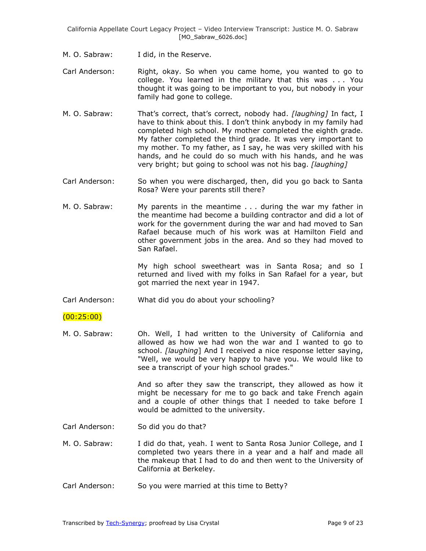- M. O. Sabraw: I did, in the Reserve.
- Carl Anderson: Right, okay. So when you came home, you wanted to go to college. You learned in the military that this was . . . You thought it was going to be important to you, but nobody in your family had gone to college.
- M. O. Sabraw: That's correct, that's correct, nobody had. *[laughing]* In fact, I have to think about this. I don't think anybody in my family had completed high school. My mother completed the eighth grade. My father completed the third grade. It was very important to my mother. To my father, as I say, he was very skilled with his hands, and he could do so much with his hands, and he was very bright; but going to school was not his bag. *[laughing]*
- Carl Anderson: So when you were discharged, then, did you go back to Santa Rosa? Were your parents still there?
- M. O. Sabraw: My parents in the meantime . . . during the war my father in the meantime had become a building contractor and did a lot of work for the government during the war and had moved to San Rafael because much of his work was at Hamilton Field and other government jobs in the area. And so they had moved to San Rafael.

My high school sweetheart was in Santa Rosa; and so I returned and lived with my folks in San Rafael for a year, but got married the next year in 1947.

Carl Anderson: What did you do about your schooling?

### (00:25:00)

M. O. Sabraw: Oh. Well, I had written to the University of California and allowed as how we had won the war and I wanted to go to school. *[laughing*] And I received a nice response letter saying, "Well, we would be very happy to have you. We would like to see a transcript of your high school grades."

> And so after they saw the transcript, they allowed as how it might be necessary for me to go back and take French again and a couple of other things that I needed to take before I would be admitted to the university.

- Carl Anderson: So did you do that?
- M. O. Sabraw: I did do that, yeah. I went to Santa Rosa Junior College, and I completed two years there in a year and a half and made all the makeup that I had to do and then went to the University of California at Berkeley.
- Carl Anderson: So you were married at this time to Betty?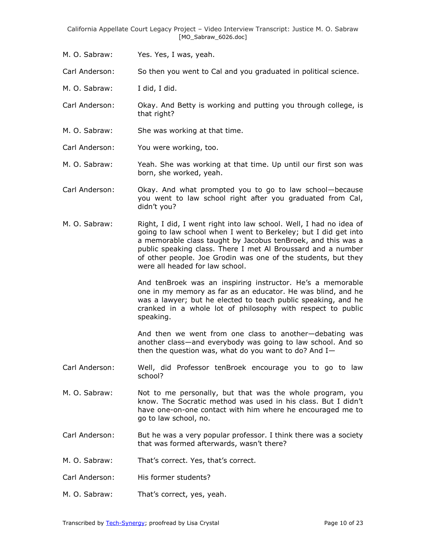M. O. Sabraw: Yes. Yes, I was, yeah.

Carl Anderson: So then you went to Cal and you graduated in political science.

- M. O. Sabraw: I did, I did.
- Carl Anderson: Okay. And Betty is working and putting you through college, is that right?
- M. O. Sabraw: She was working at that time.
- Carl Anderson: You were working, too.
- M. O. Sabraw: Yeah. She was working at that time. Up until our first son was born, she worked, yeah.
- Carl Anderson: Okay. And what prompted you to go to law school—because you went to law school right after you graduated from Cal, didn't you?
- M. O. Sabraw: Right, I did, I went right into law school. Well, I had no idea of going to law school when I went to Berkeley; but I did get into a memorable class taught by Jacobus tenBroek, and this was a public speaking class. There I met Al Broussard and a number of other people. Joe Grodin was one of the students, but they were all headed for law school.

And tenBroek was an inspiring instructor. He's a memorable one in my memory as far as an educator. He was blind, and he was a lawyer; but he elected to teach public speaking, and he cranked in a whole lot of philosophy with respect to public speaking.

And then we went from one class to another—debating was another class—and everybody was going to law school. And so then the question was, what do you want to do? And  $I-$ 

- Carl Anderson: Well, did Professor tenBroek encourage you to go to law school?
- M. O. Sabraw: Not to me personally, but that was the whole program, you know. The Socratic method was used in his class. But I didn't have one-on-one contact with him where he encouraged me to go to law school, no.
- Carl Anderson: But he was a very popular professor. I think there was a society that was formed afterwards, wasn't there?
- M. O. Sabraw: That's correct. Yes, that's correct.
- Carl Anderson: His former students?
- M. O. Sabraw: That's correct, yes, yeah.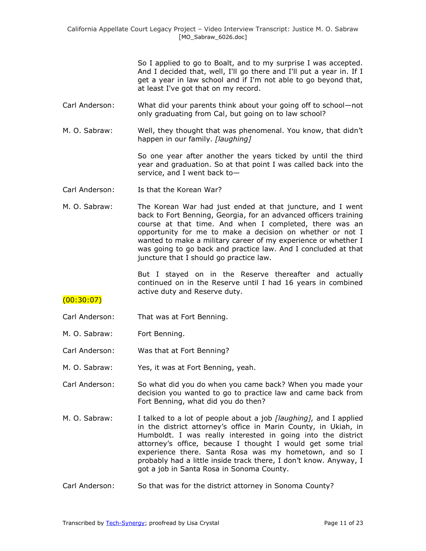So I applied to go to Boalt, and to my surprise I was accepted. And I decided that, well, I'll go there and I'll put a year in. If I get a year in law school and if I'm not able to go beyond that, at least I've got that on my record.

- Carl Anderson: What did your parents think about your going off to school—not only graduating from Cal, but going on to law school?
- M. O. Sabraw: Well, they thought that was phenomenal. You know, that didn't happen in our family. *[laughing]*

So one year after another the years ticked by until the third year and graduation. So at that point I was called back into the service, and I went back to—

- Carl Anderson: Is that the Korean War?
- M. O. Sabraw: The Korean War had just ended at that juncture, and I went back to Fort Benning, Georgia, for an advanced officers training course at that time. And when I completed, there was an opportunity for me to make a decision on whether or not I wanted to make a military career of my experience or whether I was going to go back and practice law. And I concluded at that juncture that I should go practice law.

But I stayed on in the Reserve thereafter and actually continued on in the Reserve until I had 16 years in combined active duty and Reserve duty.

# $(00:30:07)$

- Carl Anderson: That was at Fort Benning.
- M. O. Sabraw: Fort Benning.
- Carl Anderson: Was that at Fort Benning?
- M. O. Sabraw: Yes, it was at Fort Benning, yeah.
- Carl Anderson: So what did you do when you came back? When you made your decision you wanted to go to practice law and came back from Fort Benning, what did you do then?
- M. O. Sabraw: I talked to a lot of people about a job *[laughing],* and I applied in the district attorney's office in Marin County, in Ukiah, in Humboldt. I was really interested in going into the district attorney's office, because I thought I would get some trial experience there. Santa Rosa was my hometown, and so I probably had a little inside track there, I don't know. Anyway, I got a job in Santa Rosa in Sonoma County.
- Carl Anderson: So that was for the district attorney in Sonoma County?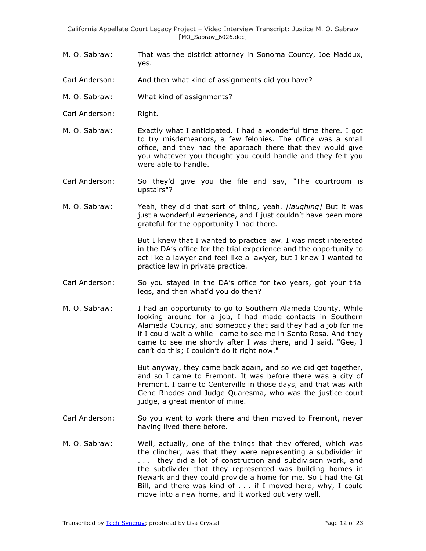- M. O. Sabraw: That was the district attorney in Sonoma County, Joe Maddux, yes.
- Carl Anderson: And then what kind of assignments did you have?
- M. O. Sabraw: What kind of assignments?
- Carl Anderson: Right.
- M. O. Sabraw: Exactly what I anticipated. I had a wonderful time there. I got to try misdemeanors, a few felonies. The office was a small office, and they had the approach there that they would give you whatever you thought you could handle and they felt you were able to handle.
- Carl Anderson: So they'd give you the file and say, "The courtroom is upstairs"?
- M. O. Sabraw: Yeah, they did that sort of thing, yeah. *[laughing]* But it was just a wonderful experience, and I just couldn't have been more grateful for the opportunity I had there.

But I knew that I wanted to practice law. I was most interested in the DA's office for the trial experience and the opportunity to act like a lawyer and feel like a lawyer, but I knew I wanted to practice law in private practice.

- Carl Anderson: So you stayed in the DA's office for two years, got your trial legs, and then what'd you do then?
- M. O. Sabraw: I had an opportunity to go to Southern Alameda County. While looking around for a job, I had made contacts in Southern Alameda County, and somebody that said they had a job for me if I could wait a while—came to see me in Santa Rosa. And they came to see me shortly after I was there, and I said, "Gee, I can't do this; I couldn't do it right now."

But anyway, they came back again, and so we did get together, and so I came to Fremont. It was before there was a city of Fremont. I came to Centerville in those days, and that was with Gene Rhodes and Judge Quaresma, who was the justice court judge, a great mentor of mine.

- Carl Anderson: So you went to work there and then moved to Fremont, never having lived there before.
- M. O. Sabraw: Well, actually, one of the things that they offered, which was the clincher, was that they were representing a subdivider in . . . they did a lot of construction and subdivision work, and the subdivider that they represented was building homes in Newark and they could provide a home for me. So I had the GI Bill, and there was kind of . . . if I moved here, why, I could move into a new home, and it worked out very well.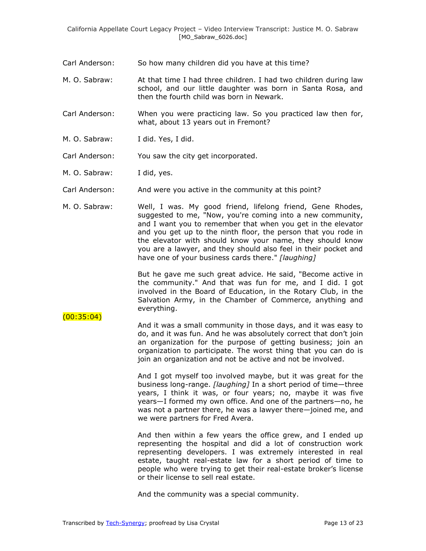- Carl Anderson: So how many children did you have at this time?
- M. O. Sabraw: At that time I had three children. I had two children during law school, and our little daughter was born in Santa Rosa, and then the fourth child was born in Newark.
- Carl Anderson: When you were practicing law. So you practiced law then for, what, about 13 years out in Fremont?
- M. O. Sabraw: I did. Yes, I did.
- Carl Anderson: You saw the city get incorporated.
- M. O. Sabraw: I did, yes.
- Carl Anderson: And were you active in the community at this point?
- M. O. Sabraw: Well, I was. My good friend, lifelong friend, Gene Rhodes, suggested to me, "Now, you're coming into a new community, and I want you to remember that when you get in the elevator and you get up to the ninth floor, the person that you rode in the elevator with should know your name, they should know you are a lawyer, and they should also feel in their pocket and have one of your business cards there." *[laughing]*

But he gave me such great advice. He said, "Become active in the community." And that was fun for me, and I did. I got involved in the Board of Education, in the Rotary Club, in the Salvation Army, in the Chamber of Commerce, anything and everything.

#### $(00:35:04)$

And it was a small community in those days, and it was easy to do, and it was fun. And he was absolutely correct that don't join an organization for the purpose of getting business; join an organization to participate. The worst thing that you can do is join an organization and not be active and not be involved.

And I got myself too involved maybe, but it was great for the business long-range. *[laughing]* In a short period of time—three years, I think it was, or four years; no, maybe it was five years—I formed my own office. And one of the partners—no, he was not a partner there, he was a lawyer there—joined me, and we were partners for Fred Avera.

And then within a few years the office grew, and I ended up representing the hospital and did a lot of construction work representing developers. I was extremely interested in real estate, taught real-estate law for a short period of time to people who were trying to get their real-estate broker's license or their license to sell real estate.

And the community was a special community.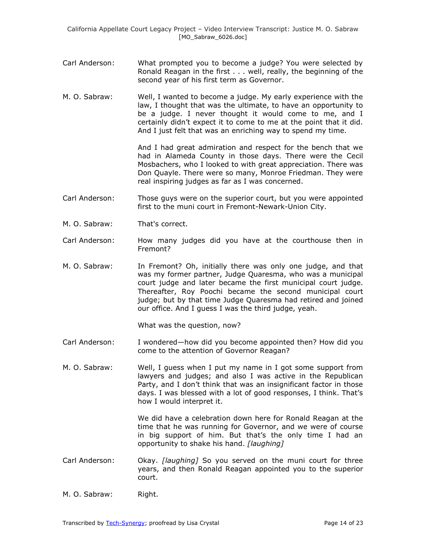- Carl Anderson: What prompted you to become a judge? You were selected by Ronald Reagan in the first . . . well, really, the beginning of the second year of his first term as Governor.
- M. O. Sabraw: Well, I wanted to become a judge. My early experience with the law, I thought that was the ultimate, to have an opportunity to be a judge. I never thought it would come to me, and I certainly didn't expect it to come to me at the point that it did. And I just felt that was an enriching way to spend my time.

And I had great admiration and respect for the bench that we had in Alameda County in those days. There were the Cecil Mosbachers, who I looked to with great appreciation. There was Don Quayle. There were so many, Monroe Friedman. They were real inspiring judges as far as I was concerned.

- Carl Anderson: Those guys were on the superior court, but you were appointed first to the muni court in Fremont-Newark-Union City.
- M. O. Sabraw: That's correct.
- Carl Anderson: How many judges did you have at the courthouse then in Fremont?
- M. O. Sabraw: In Fremont? Oh, initially there was only one judge, and that was my former partner, Judge Quaresma, who was a municipal court judge and later became the first municipal court judge. Thereafter, Roy Poochi became the second municipal court judge; but by that time Judge Quaresma had retired and joined our office. And I guess I was the third judge, yeah.

What was the question, now?

- Carl Anderson: I wondered—how did you become appointed then? How did you come to the attention of Governor Reagan?
- M. O. Sabraw: Well, I guess when I put my name in I got some support from lawyers and judges; and also I was active in the Republican Party, and I don't think that was an insignificant factor in those days. I was blessed with a lot of good responses, I think. That's how I would interpret it.

We did have a celebration down here for Ronald Reagan at the time that he was running for Governor, and we were of course in big support of him. But that's the only time I had an opportunity to shake his hand. *[laughing]*

- Carl Anderson: Okay. *[laughing]* So you served on the muni court for three years, and then Ronald Reagan appointed you to the superior court.
- M. O. Sabraw: Right.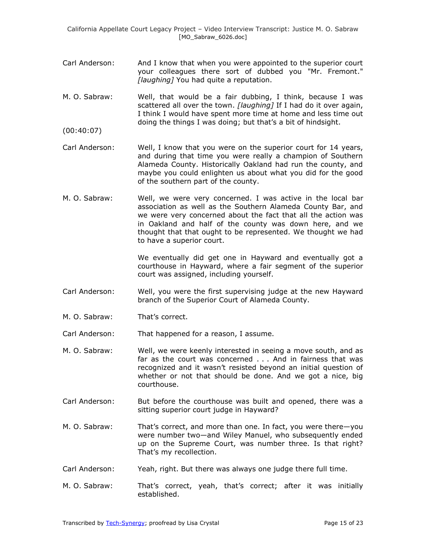- Carl Anderson: And I know that when you were appointed to the superior court your colleagues there sort of dubbed you "Mr. Fremont." *[laughing]* You had quite a reputation.
- M. O. Sabraw: Well, that would be a fair dubbing, I think, because I was scattered all over the town. *[laughing]* If I had do it over again, I think I would have spent more time at home and less time out doing the things I was doing; but that's a bit of hindsight.
- (00:40:07)
- Carl Anderson: Well, I know that you were on the superior court for 14 years, and during that time you were really a champion of Southern Alameda County. Historically Oakland had run the county, and maybe you could enlighten us about what you did for the good of the southern part of the county.
- M. O. Sabraw: Well, we were very concerned. I was active in the local bar association as well as the Southern Alameda County Bar, and we were very concerned about the fact that all the action was in Oakland and half of the county was down here, and we thought that that ought to be represented. We thought we had to have a superior court.

We eventually did get one in Hayward and eventually got a courthouse in Hayward, where a fair segment of the superior court was assigned, including yourself.

- Carl Anderson: Well, you were the first supervising judge at the new Hayward branch of the Superior Court of Alameda County.
- M. O. Sabraw: That's correct.

Carl Anderson: That happened for a reason, I assume.

- M. O. Sabraw: Well, we were keenly interested in seeing a move south, and as far as the court was concerned . . . And in fairness that was recognized and it wasn't resisted beyond an initial question of whether or not that should be done. And we got a nice, big courthouse.
- Carl Anderson: But before the courthouse was built and opened, there was a sitting superior court judge in Hayward?
- M. O. Sabraw: That's correct, and more than one. In fact, you were there—you were number two—and Wiley Manuel, who subsequently ended up on the Supreme Court, was number three. Is that right? That's my recollection.
- Carl Anderson: Yeah, right. But there was always one judge there full time.
- M. O. Sabraw: That's correct, yeah, that's correct; after it was initially established.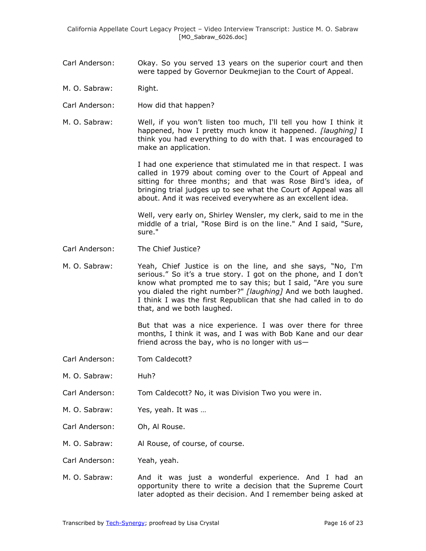- Carl Anderson: Okay. So you served 13 years on the superior court and then were tapped by Governor Deukmejian to the Court of Appeal.
- M. O. Sabraw: Right.
- Carl Anderson: How did that happen?
- M. O. Sabraw: Well, if you won't listen too much, I'll tell you how I think it happened, how I pretty much know it happened. *[laughing]* I think you had everything to do with that. I was encouraged to make an application.

I had one experience that stimulated me in that respect. I was called in 1979 about coming over to the Court of Appeal and sitting for three months; and that was Rose Bird's idea, of bringing trial judges up to see what the Court of Appeal was all about. And it was received everywhere as an excellent idea.

Well, very early on, Shirley Wensler, my clerk, said to me in the middle of a trial, "Rose Bird is on the line." And I said, "Sure, sure."

- Carl Anderson: The Chief Justice?
- M. O. Sabraw: Yeah, Chief Justice is on the line, and she says, "No, I'm serious." So it's a true story. I got on the phone, and I don't know what prompted me to say this; but I said, "Are you sure you dialed the right number?" *[laughing]* And we both laughed. I think I was the first Republican that she had called in to do that, and we both laughed.

But that was a nice experience. I was over there for three months, I think it was, and I was with Bob Kane and our dear friend across the bay, who is no longer with  $us-$ 

- Carl Anderson: Tom Caldecott?
- M. O. Sabraw: Huh?
- Carl Anderson: Tom Caldecott? No, it was Division Two you were in.
- M. O. Sabraw: Yes, yeah. It was …
- Carl Anderson: Oh, Al Rouse.
- M. O. Sabraw: Al Rouse, of course, of course.
- Carl Anderson: Yeah, yeah.
- M. O. Sabraw: And it was just a wonderful experience. And I had an opportunity there to write a decision that the Supreme Court later adopted as their decision. And I remember being asked at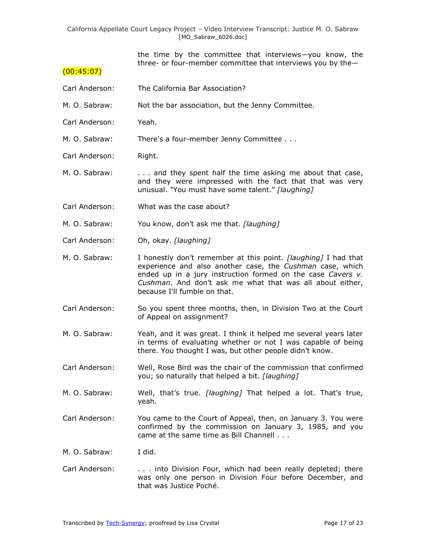the time by the committee that interviews—you know, the three- or four-member committee that interviews you by the—

#### $(00:45:07)$

- Carl Anderson: The California Bar Association?
- M. O. Sabraw: Not the bar association, but the Jenny Committee.
- Carl Anderson: Yeah.

M. O. Sabraw: There's a four-member Jenny Committee . . .

- Carl Anderson: Right.
- M. O. Sabraw: . . . and they spent half the time asking me about that case, and they were impressed with the fact that that was very unusual. "You must have some talent." *[laughing]*
- Carl Anderson: What was the case about?
- M. O. Sabraw: You know, don't ask me that. *[laughing]*
- Carl Anderson: Oh, okay. *[laughing]*
- M. O. Sabraw: I honestly don't remember at this point. *[laughing]* I had that experience and also another case, the *Cushman* case, which ended up in a jury instruction formed on the case *Cavers v. Cushman*. And don't ask me what that was all about either, because I'll fumble on that.
- Carl Anderson: So you spent three months, then, in Division Two at the Court of Appeal on assignment?
- M. O. Sabraw: Yeah, and it was great. I think it helped me several years later in terms of evaluating whether or not I was capable of being there. You thought I was, but other people didn't know.
- Carl Anderson: Well, Rose Bird was the chair of the commission that confirmed you; so naturally that helped a bit. *[laughing]*
- M. O. Sabraw: Well, that's true. *[laughing]* That helped a lot. That's true, yeah.
- Carl Anderson: You came to the Court of Appeal, then, on January 3. You were confirmed by the commission on January 3, 1985, and you came at the same time as Bill Channell . . .
- M. O. Sabraw: I did.
- Carl Anderson: ... into Division Four, which had been really depleted; there was only one person in Division Four before December, and that was Justice Poché.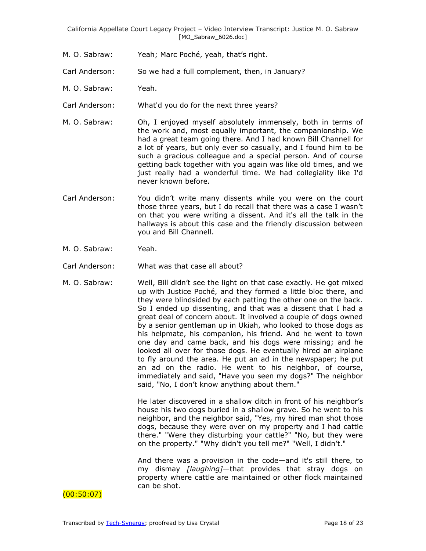- M. O. Sabraw: Yeah; Marc Poché, yeah, that's right.
- Carl Anderson: So we had a full complement, then, in January?
- M. O. Sabraw: Yeah.
- Carl Anderson: What'd you do for the next three years?
- M. O. Sabraw: Oh, I enjoyed myself absolutely immensely, both in terms of the work and, most equally important, the companionship. We had a great team going there. And I had known Bill Channell for a lot of years, but only ever so casually, and I found him to be such a gracious colleague and a special person. And of course getting back together with you again was like old times, and we just really had a wonderful time. We had collegiality like I'd never known before.
- Carl Anderson: You didn't write many dissents while you were on the court those three years, but I do recall that there was a case I wasn't on that you were writing a dissent. And it's all the talk in the hallways is about this case and the friendly discussion between you and Bill Channell.
- M. O. Sabraw: Yeah.
- Carl Anderson: What was that case all about?
- M. O. Sabraw: Well, Bill didn't see the light on that case exactly. He got mixed up with Justice Poché, and they formed a little bloc there, and they were blindsided by each patting the other one on the back. So I ended up dissenting, and that was a dissent that I had a great deal of concern about. It involved a couple of dogs owned by a senior gentleman up in Ukiah, who looked to those dogs as his helpmate, his companion, his friend. And he went to town one day and came back, and his dogs were missing; and he looked all over for those dogs. He eventually hired an airplane to fly around the area. He put an ad in the newspaper; he put an ad on the radio. He went to his neighbor, of course, immediately and said, "Have you seen my dogs?" The neighbor said, "No, I don't know anything about them."

He later discovered in a shallow ditch in front of his neighbor's house his two dogs buried in a shallow grave. So he went to his neighbor, and the neighbor said, "Yes, my hired man shot those dogs, because they were over on my property and I had cattle there." "Were they disturbing your cattle?" "No, but they were on the property." "Why didn't you tell me?" "Well, I didn't."

And there was a provision in the code—and it's still there, to my dismay *[laughing]*—that provides that stray dogs on property where cattle are maintained or other flock maintained can be shot.

### $(00:50:07)$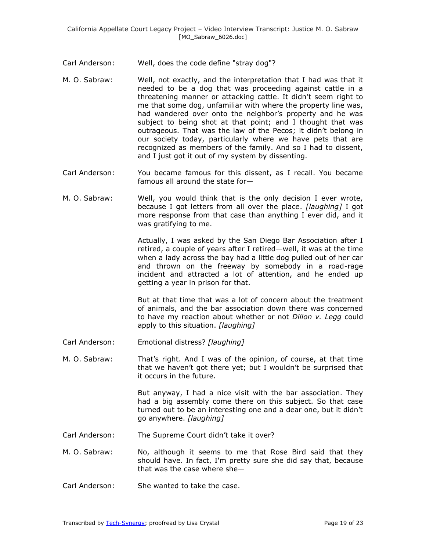- Carl Anderson: Well, does the code define "stray dog"?
- M. O. Sabraw: Well, not exactly, and the interpretation that I had was that it needed to be a dog that was proceeding against cattle in a threatening manner or attacking cattle. It didn't seem right to me that some dog, unfamiliar with where the property line was, had wandered over onto the neighbor's property and he was subject to being shot at that point; and I thought that was outrageous. That was the law of the Pecos; it didn't belong in our society today, particularly where we have pets that are recognized as members of the family. And so I had to dissent, and I just got it out of my system by dissenting.
- Carl Anderson: You became famous for this dissent, as I recall. You became famous all around the state for—
- M. O. Sabraw: Well, you would think that is the only decision I ever wrote, because I got letters from all over the place. *[laughing]* I got more response from that case than anything I ever did, and it was gratifying to me.

Actually, I was asked by the San Diego Bar Association after I retired, a couple of years after I retired—well, it was at the time when a lady across the bay had a little dog pulled out of her car and thrown on the freeway by somebody in a road-rage incident and attracted a lot of attention, and he ended up getting a year in prison for that.

But at that time that was a lot of concern about the treatment of animals, and the bar association down there was concerned to have my reaction about whether or not *Dillon v. Legg* could apply to this situation. *[laughing]*

- Carl Anderson: Emotional distress? *[laughing]*
- M. O. Sabraw: That's right. And I was of the opinion, of course, at that time that we haven't got there yet; but I wouldn't be surprised that it occurs in the future.

But anyway, I had a nice visit with the bar association. They had a big assembly come there on this subject. So that case turned out to be an interesting one and a dear one, but it didn't go anywhere. *[laughing]*

Carl Anderson: The Supreme Court didn't take it over?

M. O. Sabraw: No, although it seems to me that Rose Bird said that they should have. In fact, I'm pretty sure she did say that, because that was the case where she—

Carl Anderson: She wanted to take the case.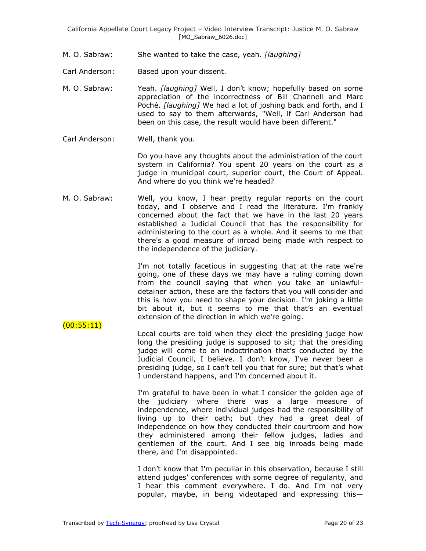- M. O. Sabraw: She wanted to take the case, yeah. *[laughing]*
- Carl Anderson: Based upon your dissent.
- M. O. Sabraw: Yeah. *[laughing]* Well, I don't know; hopefully based on some appreciation of the incorrectness of Bill Channell and Marc Poché. *[laughing]* We had a lot of joshing back and forth, and I used to say to them afterwards, "Well, if Carl Anderson had been on this case, the result would have been different."
- Carl Anderson: Well, thank you.

 $(00:55:11)$ 

Do you have any thoughts about the administration of the court system in California? You spent 20 years on the court as a judge in municipal court, superior court, the Court of Appeal. And where do you think we're headed?

M. O. Sabraw: Well, you know, I hear pretty regular reports on the court today, and I observe and I read the literature. I'm frankly concerned about the fact that we have in the last 20 years established a Judicial Council that has the responsibility for administering to the court as a whole. And it seems to me that there's a good measure of inroad being made with respect to the independence of the judiciary.

> I'm not totally facetious in suggesting that at the rate we're going, one of these days we may have a ruling coming down from the council saying that when you take an unlawfuldetainer action, these are the factors that you will consider and this is how you need to shape your decision. I'm joking a little bit about it, but it seems to me that that's an eventual extension of the direction in which we're going.

Local courts are told when they elect the presiding judge how long the presiding judge is supposed to sit; that the presiding judge will come to an indoctrination that's conducted by the Judicial Council, I believe. I don't know, I've never been a presiding judge, so I can't tell you that for sure; but that's what I understand happens, and I'm concerned about it.

> I'm grateful to have been in what I consider the golden age of the judiciary where there was a large measure of independence, where individual judges had the responsibility of living up to their oath; but they had a great deal of independence on how they conducted their courtroom and how they administered among their fellow judges, ladies and gentlemen of the court. And I see big inroads being made there, and I'm disappointed.

> I don't know that I'm peculiar in this observation, because I still attend judges' conferences with some degree of regularity, and I hear this comment everywhere. I do. And I'm not very popular, maybe, in being videotaped and expressing this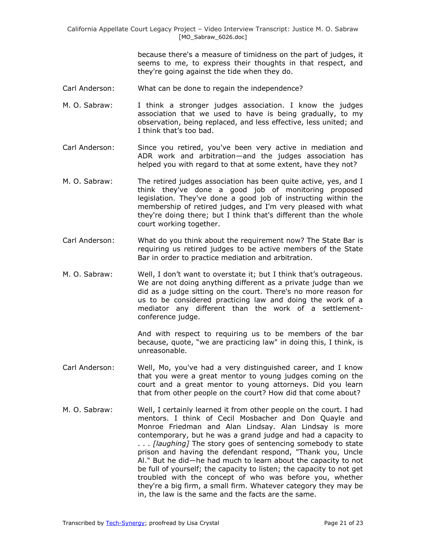because there's a measure of timidness on the part of judges, it seems to me, to express their thoughts in that respect, and they're going against the tide when they do.

- Carl Anderson: What can be done to regain the independence?
- M. O. Sabraw: I think a stronger judges association. I know the judges association that we used to have is being gradually, to my observation, being replaced, and less effective, less united; and I think that's too bad.
- Carl Anderson: Since you retired, you've been very active in mediation and ADR work and arbitration—and the judges association has helped you with regard to that at some extent, have they not?
- M. O. Sabraw: The retired judges association has been quite active, yes, and I think they've done a good job of monitoring proposed legislation. They've done a good job of instructing within the membership of retired judges, and I'm very pleased with what they're doing there; but I think that's different than the whole court working together.
- Carl Anderson: What do you think about the requirement now? The State Bar is requiring us retired judges to be active members of the State Bar in order to practice mediation and arbitration.
- M. O. Sabraw: Well, I don't want to overstate it; but I think that's outrageous. We are not doing anything different as a private judge than we did as a judge sitting on the court. There's no more reason for us to be considered practicing law and doing the work of a mediator any different than the work of a settlementconference judge.

And with respect to requiring us to be members of the bar because, quote, "we are practicing law" in doing this, I think, is unreasonable.

- Carl Anderson: Well, Mo, you've had a very distinguished career, and I know that you were a great mentor to young judges coming on the court and a great mentor to young attorneys. Did you learn that from other people on the court? How did that come about?
- M. O. Sabraw: Well, I certainly learned it from other people on the court. I had mentors. I think of Cecil Mosbacher and Don Quayle and Monroe Friedman and Alan Lindsay. Alan Lindsay is more contemporary, but he was a grand judge and had a capacity to . . . *[laughing]* The story goes of sentencing somebody to state prison and having the defendant respond, "Thank you, Uncle Al." But he did—he had much to learn about the capacity to not be full of yourself; the capacity to listen; the capacity to not get troubled with the concept of who was before you, whether they're a big firm, a small firm. Whatever category they may be in, the law is the same and the facts are the same.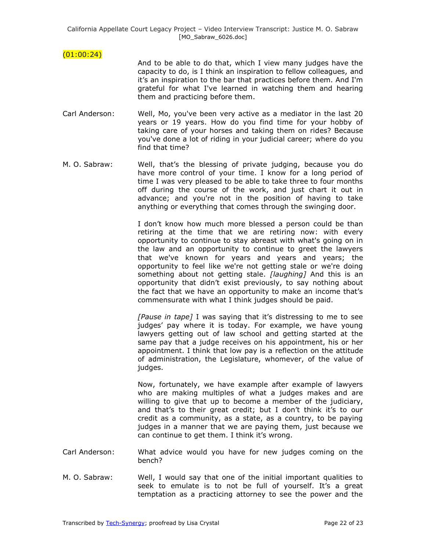## $(01:00:24)$

And to be able to do that, which I view many judges have the capacity to do, is I think an inspiration to fellow colleagues, and it's an inspiration to the bar that practices before them. And I'm grateful for what I've learned in watching them and hearing them and practicing before them.

- Carl Anderson: Well, Mo, you've been very active as a mediator in the last 20 years or 19 years. How do you find time for your hobby of taking care of your horses and taking them on rides? Because you've done a lot of riding in your judicial career; where do you find that time?
- M. O. Sabraw: Well, that's the blessing of private judging, because you do have more control of your time. I know for a long period of time I was very pleased to be able to take three to four months off during the course of the work, and just chart it out in advance; and you're not in the position of having to take anything or everything that comes through the swinging door.

I don't know how much more blessed a person could be than retiring at the time that we are retiring now: with every opportunity to continue to stay abreast with what's going on in the law and an opportunity to continue to greet the lawyers that we've known for years and years and years; the opportunity to feel like we're not getting stale or we're doing something about not getting stale. *[laughing]* And this is an opportunity that didn't exist previously, to say nothing about the fact that we have an opportunity to make an income that's commensurate with what I think judges should be paid.

*[Pause in tape]* I was saying that it's distressing to me to see judges' pay where it is today. For example, we have young lawyers getting out of law school and getting started at the same pay that a judge receives on his appointment, his or her appointment. I think that low pay is a reflection on the attitude of administration, the Legislature, whomever, of the value of judges.

Now, fortunately, we have example after example of lawyers who are making multiples of what a judges makes and are willing to give that up to become a member of the judiciary, and that's to their great credit; but I don't think it's to our credit as a community, as a state, as a country, to be paying judges in a manner that we are paying them, just because we can continue to get them. I think it's wrong.

- Carl Anderson: What advice would you have for new judges coming on the bench?
- M. O. Sabraw: Well, I would say that one of the initial important qualities to seek to emulate is to not be full of yourself. It's a great temptation as a practicing attorney to see the power and the